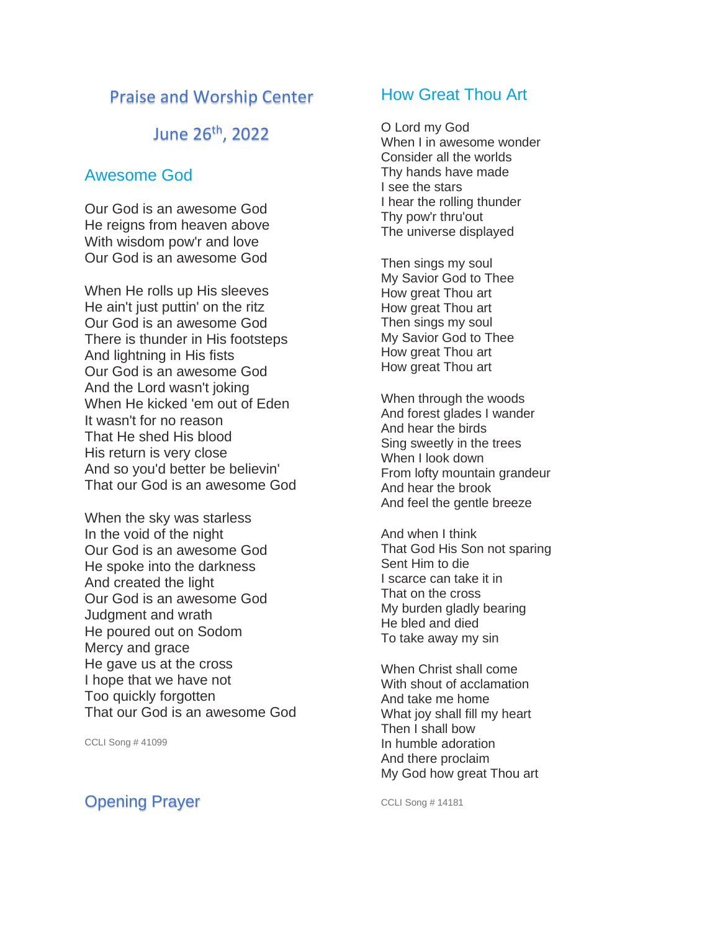#### Praise and Worship Center

# June 26th, 2022

#### Awesome God

Our God is an awesome God He reigns from heaven above With wisdom pow'r and love Our God is an awesome God

When He rolls up His sleeves He ain't just puttin' on the ritz Our God is an awesome God There is thunder in His footsteps And lightning in His fists Our God is an awesome God And the Lord wasn't joking When He kicked 'em out of Eden It wasn't for no reason That He shed His blood His return is very close And so you'd better be believin' That our God is an awesome God

When the sky was starless In the void of the night Our God is an awesome God He spoke into the darkness And created the light Our God is an awesome God Judgment and wrath He poured out on Sodom Mercy and grace He gave us at the cross I hope that we have not Too quickly forgotten That our God is an awesome God

CCLI Song # 41099

## Opening Prayer

#### How Great Thou Art

O Lord my God When I in awesome wonder Consider all the worlds Thy hands have made I see the stars I hear the rolling thunder Thy pow'r thru'out The universe displayed

Then sings my soul My Savior God to Thee How great Thou art How great Thou art Then sings my soul My Savior God to Thee How great Thou art How great Thou art

When through the woods And forest glades I wander And hear the birds Sing sweetly in the trees When I look down From lofty mountain grandeur And hear the brook And feel the gentle breeze

And when I think That God His Son not sparing Sent Him to die I scarce can take it in That on the cross My burden gladly bearing He bled and died To take away my sin

When Christ shall come With shout of acclamation And take me home What joy shall fill my heart Then I shall bow In humble adoration And there proclaim My God how great Thou art

CCLI Song # 14181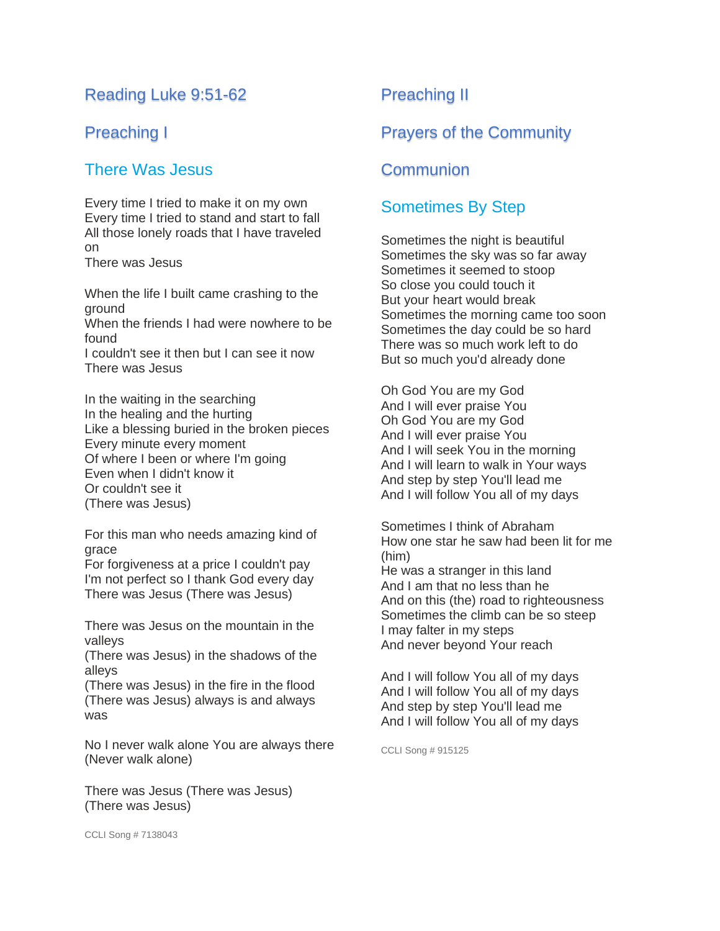# Reading Luke 9:51-62

## Preaching I

## There Was Jesus

Every time I tried to make it on my own Every time I tried to stand and start to fall All those lonely roads that I have traveled on There was Jesus

When the life I built came crashing to the ground

When the friends I had were nowhere to be found

I couldn't see it then but I can see it now There was Jesus

In the waiting in the searching In the healing and the hurting Like a blessing buried in the broken pieces Every minute every moment Of where I been or where I'm going Even when I didn't know it Or couldn't see it (There was Jesus)

For this man who needs amazing kind of grace

For forgiveness at a price I couldn't pay I'm not perfect so I thank God every day There was Jesus (There was Jesus)

There was Jesus on the mountain in the valleys

(There was Jesus) in the shadows of the alleys

(There was Jesus) in the fire in the flood (There was Jesus) always is and always was

No I never walk alone You are always there (Never walk alone)

There was Jesus (There was Jesus) (There was Jesus)

## Preaching II

# Prayers of the Community

#### **Communion**

# Sometimes By Step

Sometimes the night is beautiful Sometimes the sky was so far away Sometimes it seemed to stoop So close you could touch it But your heart would break Sometimes the morning came too soon Sometimes the day could be so hard There was so much work left to do But so much you'd already done

Oh God You are my God And I will ever praise You Oh God You are my God And I will ever praise You And I will seek You in the morning And I will learn to walk in Your ways And step by step You'll lead me And I will follow You all of my days

Sometimes I think of Abraham How one star he saw had been lit for me (him)

He was a stranger in this land And I am that no less than he And on this (the) road to righteousness Sometimes the climb can be so steep I may falter in my steps And never beyond Your reach

And I will follow You all of my days And I will follow You all of my days And step by step You'll lead me And I will follow You all of my days

CCLI Song # 915125